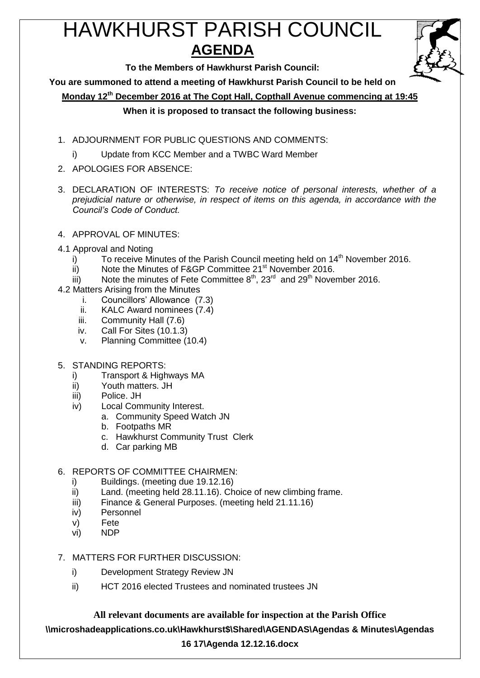# HAWKHURST PARISH COUNCIL **AGENDA**



**To the Members of Hawkhurst Parish Council:**

**You are summoned to attend a meeting of Hawkhurst Parish Council to be held on**

**Monday 12th December 2016 at The Copt Hall, Copthall Avenue commencing at 19:45**

# **When it is proposed to transact the following business:**

- 1. ADJOURNMENT FOR PUBLIC QUESTIONS AND COMMENTS:
	- i) Update from KCC Member and a TWBC Ward Member
- 2. APOLOGIES FOR ABSENCE:
- 3. DECLARATION OF INTERESTS: *To receive notice of personal interests, whether of a prejudicial nature or otherwise, in respect of items on this agenda, in accordance with the Council's Code of Conduct.*
- 4. APPROVAL OF MINUTES:
- 4.1 Approval and Noting
	- i) To receive Minutes of the Parish Council meeting held on  $14<sup>th</sup>$  November 2016.
	- ii) Note the Minutes of F&GP Committee 21<sup>st</sup> November 2016.
	- iii) Note the minutes of Fete Committee  $8^{th}$ ,  $23^{rd}$  and  $29^{th}$  November 2016.
- 4.2 Matters Arising from the Minutes
	- i. Councillors' Allowance (7.3)
	- ii. KALC Award nominees (7.4)
	- iii. Community Hall (7.6)
	- iv. Call For Sites (10.1.3)
	- v. Planning Committee (10.4)
- 5. STANDING REPORTS:
	- i) Transport & Highways MA
	- ii) Youth matters. JH
	- iii) Police. JH
	- iv) Local Community Interest.
		- a. Community Speed Watch JN
			- b. Footpaths MR
			- c. Hawkhurst Community Trust Clerk
		- d. Car parking MB

# 6. REPORTS OF COMMITTEE CHAIRMEN:

- i) Buildings. (meeting due 19.12.16)
- ii) Land. (meeting held 28.11.16). Choice of new climbing frame.
- iii) Finance & General Purposes. (meeting held 21.11.16)
- iv) Personnel
- v) Fete
- vi) NDP
- 7. MATTERS FOR FURTHER DISCUSSION:
	- i) Development Strategy Review JN
	- ii) HCT 2016 elected Trustees and nominated trustees JN

**All relevant documents are available for inspection at the Parish Office**

**\\microshadeapplications.co.uk\Hawkhurst\$\Shared\AGENDAS\Agendas & Minutes\Agendas** 

# **16 17\Agenda 12.12.16.docx**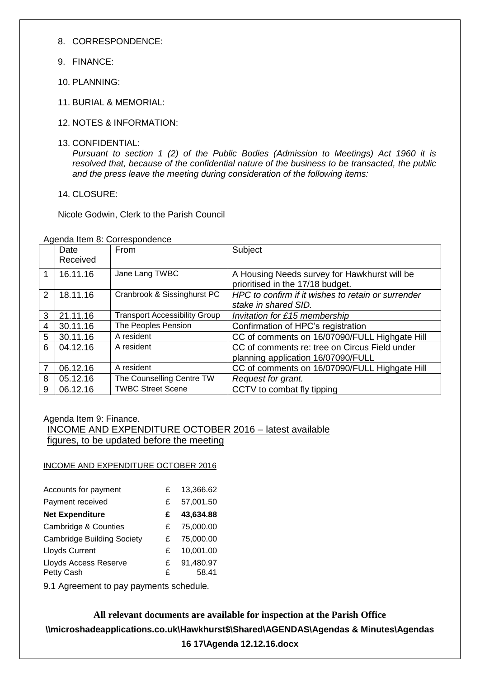8. CORRESPONDENCE:

- 9. FINANCE:
- 10. PLANNING:
- 11. BURIAL & MEMORIAL:
- 12. NOTES & INFORMATION:
- 13. CONFIDENTIAL:

*Pursuant to section 1 (2) of the Public Bodies (Admission to Meetings) Act 1960 it is resolved that, because of the confidential nature of the business to be transacted, the public and the press leave the meeting during consideration of the following items:*

14. CLOSURE:

Nicole Godwin, Clerk to the Parish Council

|                | Date<br>Received | <b>From</b>                          | Subject                                                                             |
|----------------|------------------|--------------------------------------|-------------------------------------------------------------------------------------|
| 1              | 16.11.16         | Jane Lang TWBC                       | A Housing Needs survey for Hawkhurst will be<br>prioritised in the 17/18 budget.    |
| $\mathcal{P}$  | 18.11.16         | Cranbrook & Sissinghurst PC          | HPC to confirm if it wishes to retain or surrender<br>stake in shared SID.          |
| 3              | 21.11.16         | <b>Transport Accessibility Group</b> | Invitation for £15 membership                                                       |
| $\overline{4}$ | 30.11.16         | The Peoples Pension                  | Confirmation of HPC's registration                                                  |
| 5              | 30.11.16         | A resident                           | CC of comments on 16/07090/FULL Highgate Hill                                       |
| 6              | 04.12.16         | A resident                           | CC of comments re: tree on Circus Field under<br>planning application 16/07090/FULL |
| 7              | 06.12.16         | A resident                           | CC of comments on 16/07090/FULL Highgate Hill                                       |
| 8              | 05.12.16         | The Counselling Centre TW            | Request for grant.                                                                  |
| 9              | 06.12.16         | <b>TWBC Street Scene</b>             | CCTV to combat fly tipping                                                          |

Agenda Item 8: Correspondence

Agenda Item 9: Finance.

INCOME AND EXPENDITURE OCTOBER 2016 – latest available figures, to be updated before the meeting

INCOME AND EXPENDITURE OCTOBER 2016

| Accounts for payment                       | £      | 13,366.62          |
|--------------------------------------------|--------|--------------------|
| Payment received                           | £      | 57,001.50          |
| <b>Net Expenditure</b>                     | £      | 43,634.88          |
| <b>Cambridge &amp; Counties</b>            | £      | 75,000.00          |
| <b>Cambridge Building Society</b>          | £      | 75,000.00          |
| <b>Lloyds Current</b>                      | £      | 10,001.00          |
| <b>Lloyds Access Reserve</b><br>Petty Cash | £<br>£ | 91,480.97<br>58.41 |

9.1 Agreement to pay payments schedule.

**All relevant documents are available for inspection at the Parish Office \\microshadeapplications.co.uk\Hawkhurst\$\Shared\AGENDAS\Agendas & Minutes\Agendas 16 17\Agenda 12.12.16.docx**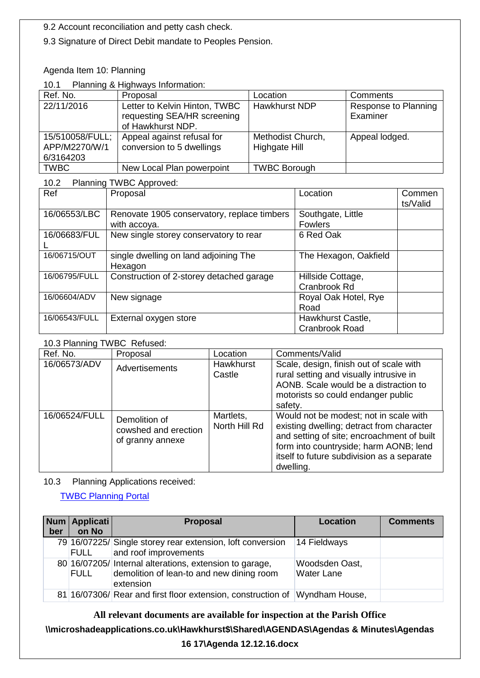9.2 Account reconciliation and petty cash check.

9.3 Signature of Direct Debit mandate to Peoples Pension.

## Agenda Item 10: Planning

## 10.1 Planning & Highways Information:

| Ref. No.                                      | Proposal                                                                          | Location                           | Comments                         |
|-----------------------------------------------|-----------------------------------------------------------------------------------|------------------------------------|----------------------------------|
| 22/11/2016                                    | Letter to Kelvin Hinton, TWBC<br>requesting SEA/HR screening<br>of Hawkhurst NDP. | <b>Hawkhurst NDP</b>               | Response to Planning<br>Examiner |
| 15/510058/FULL;<br>APP/M2270/W/1<br>6/3164203 | Appeal against refusal for<br>conversion to 5 dwellings                           | Methodist Church,<br>Highgate Hill | Appeal lodged.                   |
| <b>TWBC</b>                                   | New Local Plan powerpoint                                                         | <b>TWBC Borough</b>                |                                  |

| Planning TWBC Approved:<br>10.2 |                                                             |                                            |                    |  |  |  |
|---------------------------------|-------------------------------------------------------------|--------------------------------------------|--------------------|--|--|--|
| Ref                             | Proposal                                                    | Location                                   | Commen<br>ts/Valid |  |  |  |
| 16/06553/LBC                    | Renovate 1905 conservatory, replace timbers<br>with accoya. | Southgate, Little<br><b>Fowlers</b>        |                    |  |  |  |
| 16/06683/FUL                    | New single storey conservatory to rear                      | 6 Red Oak                                  |                    |  |  |  |
| 16/06715/OUT                    | single dwelling on land adjoining The<br>Hexagon            | The Hexagon, Oakfield                      |                    |  |  |  |
| 16/06795/FULL                   | Construction of 2-storey detached garage                    | Hillside Cottage,<br>Cranbrook Rd          |                    |  |  |  |
| 16/06604/ADV                    | New signage                                                 | Royal Oak Hotel, Rye<br>Road               |                    |  |  |  |
| 16/06543/FULL                   | External oxygen store                                       | Hawkhurst Castle,<br><b>Cranbrook Road</b> |                    |  |  |  |

## 10.3 Planning TWBC Refused:

| Ref. No.      | Proposal                                                  | Location                   | Comments/Valid                                                                                                                                                                                                                         |
|---------------|-----------------------------------------------------------|----------------------------|----------------------------------------------------------------------------------------------------------------------------------------------------------------------------------------------------------------------------------------|
| 16/06573/ADV  | Advertisements                                            | <b>Hawkhurst</b><br>Castle | Scale, design, finish out of scale with<br>rural setting and visually intrusive in<br>AONB. Scale would be a distraction to<br>motorists so could endanger public<br>safety.                                                           |
| 16/06524/FULL | Demolition of<br>cowshed and erection<br>of granny annexe | Martlets,<br>North Hill Rd | Would not be modest; not in scale with<br>existing dwelling; detract from character<br>and setting of site; encroachment of built<br>form into countryside; harm AONB; lend<br>itself to future subdivision as a separate<br>dwelling. |

#### 10.3 Planning Applications received:

[TWBC Planning Portal](http://www.tunbridgewells.gov.uk/residents/planning/planning-application-search)

| ber | Num   Applicati  <br>on No | <b>Proposal</b>                                                                                                   | Location                            | <b>Comments</b> |
|-----|----------------------------|-------------------------------------------------------------------------------------------------------------------|-------------------------------------|-----------------|
|     | FULL                       | 79 16/07225/ Single storey rear extension, loft conversion<br>and roof improvements                               | 14 Fieldways                        |                 |
|     | <b>FULL</b>                | 80 16/07205/ Internal alterations, extension to garage,<br>demolition of lean-to and new dining room<br>extension | Woodsden Oast,<br><b>Water Lane</b> |                 |
|     |                            | 81 16/07306/ Rear and first floor extension, construction of                                                      | Wyndham House,                      |                 |

## **All relevant documents are available for inspection at the Parish Office**

# **\\microshadeapplications.co.uk\Hawkhurst\$\Shared\AGENDAS\Agendas & Minutes\Agendas**

# **16 17\Agenda 12.12.16.docx**